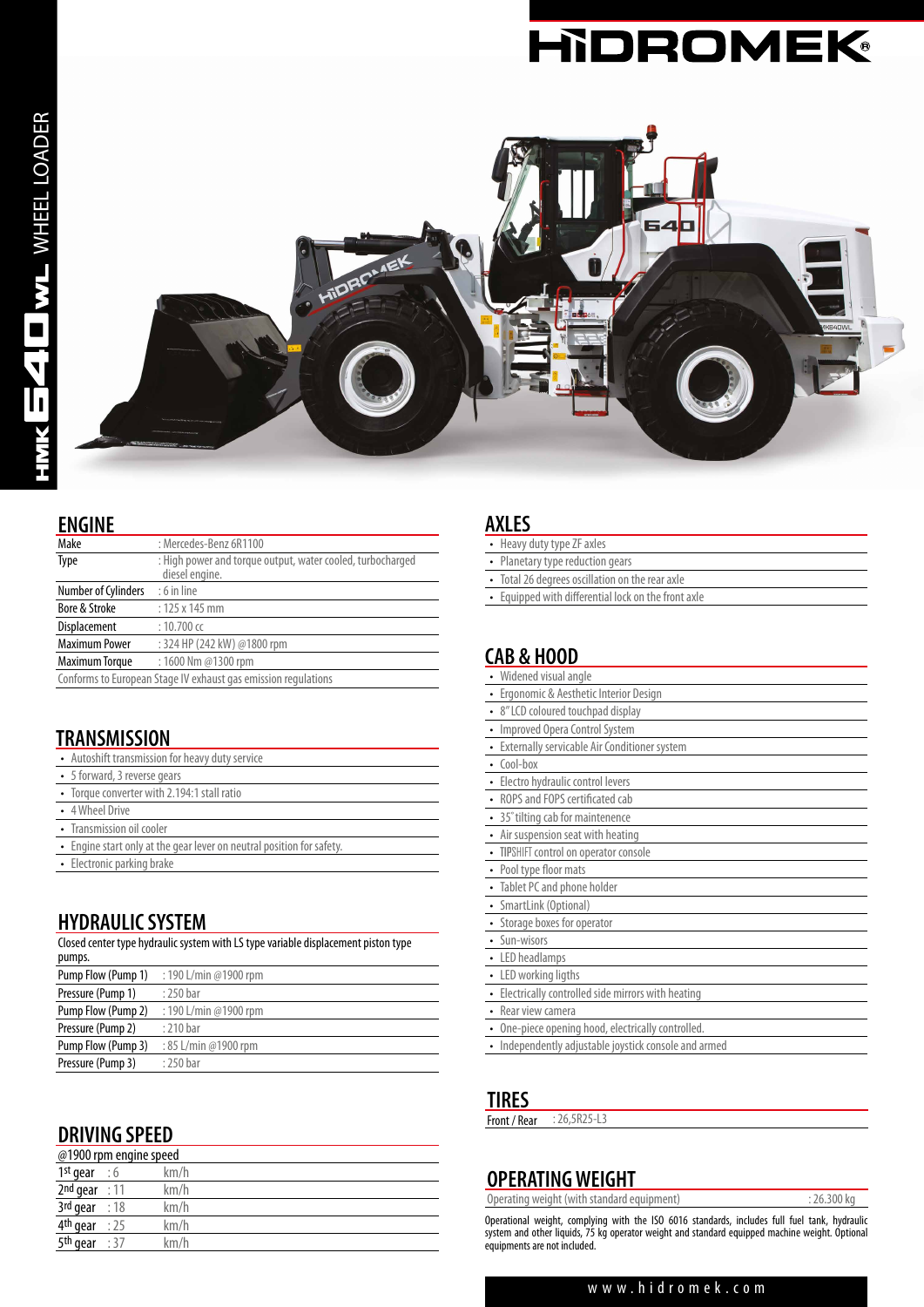



#### **ENGINE**

| Make                 | : Mercedes-Benz 6R1100                                                       |  |
|----------------------|------------------------------------------------------------------------------|--|
| Type                 | : High power and torque output, water cooled, turbocharged<br>diesel engine. |  |
| Number of Cylinders  | $: 6$ in line                                                                |  |
| Bore & Stroke        | $: 125 \times 145$ mm                                                        |  |
| Displacement         | $: 10.700$ cc                                                                |  |
| <b>Maximum Power</b> | : 324 HP (242 kW) @1800 rpm                                                  |  |
| Maximum Torque       | : 1600 Nm @1300 rpm                                                          |  |
|                      | Canformete Currican Chanalli exhaust non emission repubblican                |  |

Conforms to European Stage IV exhaust gas emission regulations

### **TRANSMISSION**

| • Autoshift transmission for heavy duty service                       |
|-----------------------------------------------------------------------|
| • 5 forward, 3 reverse gears                                          |
| • Torque converter with 2.194:1 stall ratio                           |
| • 4 Wheel Drive                                                       |
| • Transmission oil cooler                                             |
| • Engine start only at the gear lever on neutral position for safety. |
| • Electronic parking brake                                            |

### **HYDRAULIC SYSTEM**

Closed center type hydraulic system with LS type variable displacement piston type pumps.  $\frac{1}{2}$ Pump Flow (Pump 1) : 190 L/min @1900 rpm

| <b>FUILIP LIVW</b> (FUILIP 1) | . 170 L/11111 (W1700 I)111 |
|-------------------------------|----------------------------|
| Pressure (Pump 1)             | : 250 bar                  |
| Pump Flow (Pump 2)            | : 190 L/min @1900 rpm      |
| Pressure (Pump 2)             | : 210 bar                  |
| Pump Flow (Pump 3)            | : 85 L/min @1900 rpm       |
| Pressure (Pump 3)             | : 250 bar                  |
|                               |                            |

# **DRIVING SPEED**

| @1900 rpm engine speed     |  |      |
|----------------------------|--|------|
| 1 <sup>st</sup> gear : $6$ |  | km/h |
| $2nd$ gear : 11            |  | km/h |
| $3rd$ gear : 18            |  | km/h |
| 4 <sup>th</sup> gear : 25  |  | km/h |
| $5th$ gear : 37            |  | km/h |

#### **AXLES**

| • Heavy duty type ZF axles                          |  |
|-----------------------------------------------------|--|
| • Planetary type reduction gears                    |  |
| • Total 26 degrees oscillation on the rear axle     |  |
| • Equipped with differential lock on the front axle |  |
|                                                     |  |
|                                                     |  |
| CAB & HOOD                                          |  |
|                                                     |  |

| Widened visual angle                               |
|----------------------------------------------------|
| • Ergonomic & Aesthetic Interior Design            |
| • 8" LCD coloured touchpad display                 |
| Improved Opera Control System                      |
| Externally servicable Air Conditioner system       |
| $\cdot$ Cool-box                                   |
| Electro hydraulic control levers                   |
| ROPS and FOPS certificated cab                     |
| 35° tilting cab for maintenence                    |
| • Air suspension seat with heating                 |
| • TIPSHIFT control on operator console             |
| • Pool type floor mats                             |
| • Tablet PC and phone holder                       |
| • SmartLink (Optional)                             |
| • Storage boxes for operator                       |
| • Sun-wisors                                       |
| • LED headlamps                                    |
| • LED working ligths                               |
| Electrically controlled side mirrors with heating  |
| • Rear view camera                                 |
| • One-piece opening hood, electrically controlled. |

• Independently adjustable joystick console and armed

# **TIRES**<br>Front / Rea

| : 26,5R25-L3<br>Front / Rear |  |
|------------------------------|--|
|------------------------------|--|

# **OPERATING WEIGHT**

Operating weight (with standard equipment) : 26.300 kg

Operational weight, complying with the ISO 6016 standards, includes full fuel tank, hydraulic system and other liquids, 75 kg operator weight and standard equipped machine weight. Optional equipments are not included.

#### www.hidromek.com